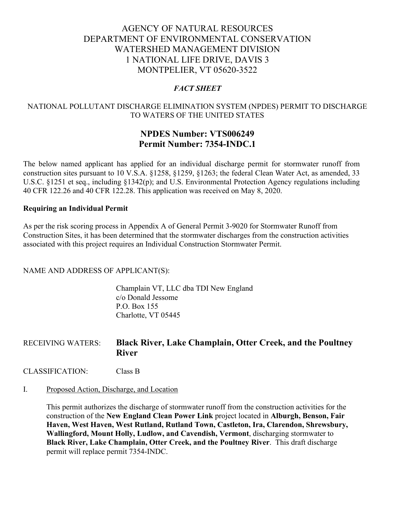# AGENCY OF NATURAL RESOURCES DEPARTMENT OF ENVIRONMENTAL CONSERVATION WATERSHED MANAGEMENT DIVISION 1 NATIONAL LIFE DRIVE, DAVIS 3 MONTPELIER, VT 05620-3522

## *FACT SHEET*

## NATIONAL POLLUTANT DISCHARGE ELIMINATION SYSTEM (NPDES) PERMIT TO DISCHARGE TO WATERS OF THE UNITED STATES

## **NPDES Number: VTS006249 Permit Number: 7354-INDC.1**

The below named applicant has applied for an individual discharge permit for stormwater runoff from construction sites pursuant to 10 V.S.A. §1258, §1259, §1263; the federal Clean Water Act, as amended, 33 U.S.C. §1251 et seq., including §1342(p); and U.S. Environmental Protection Agency regulations including 40 CFR 122.26 and 40 CFR 122.28. This application was received on May 8, 2020.

#### **Requiring an Individual Permit**

As per the risk scoring process in Appendix A of General Permit 3-9020 for Stormwater Runoff from Construction Sites, it has been determined that the stormwater discharges from the construction activities associated with this project requires an Individual Construction Stormwater Permit.

NAME AND ADDRESS OF APPLICANT(S):

Champlain VT, LLC dba TDI New England c/o Donald Jessome P.O. Box 155 Charlotte, VT 05445

## RECEIVING WATERS: **Black River, Lake Champlain, Otter Creek, and the Poultney River**

CLASSIFICATION: Class B

#### I. Proposed Action, Discharge, and Location

This permit authorizes the discharge of stormwater runoff from the construction activities for the construction of the **New England Clean Power Link** project located in **Alburgh, Benson, Fair Haven, West Haven, West Rutland, Rutland Town, Castleton, Ira, Clarendon, Shrewsbury, Wallingford, Mount Holly, Ludlow, and Cavendish, Vermont**, discharging stormwater to **Black River, Lake Champlain, Otter Creek, and the Poultney River**. This draft discharge permit will replace permit 7354-INDC.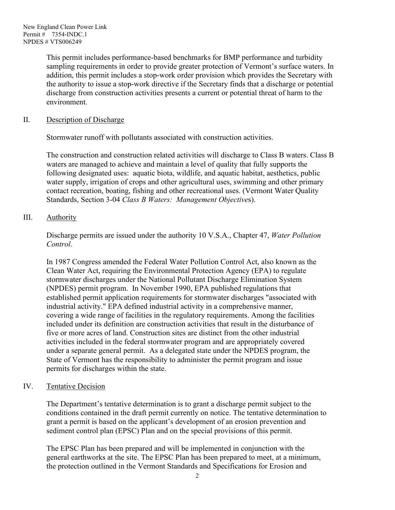This permit includes performance-based benchmarks for BMP performance and turbidity sampling requirements in order to provide greater protection of Vermont's surface waters. In addition, this permit includes a stop-work order provision which provides the Secretary with the authority to issue a stop-work directive if the Secretary finds that a discharge or potential discharge from construction activities presents a current or potential threat of harm to the environment.

## II. Description of Discharge

Stormwater runoff with pollutants associated with construction activities.

The construction and construction related activities will discharge to Class B waters. Class B waters are managed to achieve and maintain a level of quality that fully supports the following designated uses: aquatic biota, wildlife, and aquatic habitat, aesthetics, public water supply, irrigation of crops and other agricultural uses, swimming and other primary contact recreation, boating, fishing and other recreational uses. (Vermont Water Quality Standards, Section 3-04 *Class B Waters: Management Objective*s).

## III. Authority

Discharge permits are issued under the authority 10 V.S.A., Chapter 47, *Water Pollution Control*.

In 1987 Congress amended the Federal Water Pollution Control Act, also known as the Clean Water Act, requiring the Environmental Protection Agency (EPA) to regulate stormwater discharges under the National Pollutant Discharge Elimination System (NPDES) permit program. In November 1990, EPA published regulations that established permit application requirements for stormwater discharges "associated with industrial activity." EPA defined industrial activity in a comprehensive manner, covering a wide range of facilities in the regulatory requirements. Among the facilities included under its definition are construction activities that result in the disturbance of five or more acres of land. Construction sites are distinct from the other industrial activities included in the federal stormwater program and are appropriately covered under a separate general permit. As a delegated state under the NPDES program, the State of Vermont has the responsibility to administer the permit program and issue permits for discharges within the state.

## IV. Tentative Decision

The Department's tentative determination is to grant a discharge permit subject to the conditions contained in the draft permit currently on notice. The tentative determination to grant a permit is based on the applicant's development of an erosion prevention and sediment control plan (EPSC) Plan and on the special provisions of this permit.

The EPSC Plan has been prepared and will be implemented in conjunction with the general earthworks at the site. The EPSC Plan has been prepared to meet, at a minimum, the protection outlined in the Vermont Standards and Specifications for Erosion and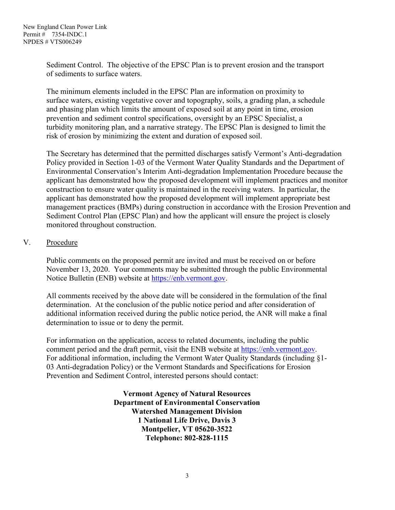Sediment Control. The objective of the EPSC Plan is to prevent erosion and the transport of sediments to surface waters.

The minimum elements included in the EPSC Plan are information on proximity to surface waters, existing vegetative cover and topography, soils, a grading plan, a schedule and phasing plan which limits the amount of exposed soil at any point in time, erosion prevention and sediment control specifications, oversight by an EPSC Specialist, a turbidity monitoring plan, and a narrative strategy. The EPSC Plan is designed to limit the risk of erosion by minimizing the extent and duration of exposed soil.

The Secretary has determined that the permitted discharges satisfy Vermont's Anti-degradation Policy provided in Section 1-03 of the Vermont Water Quality Standards and the Department of Environmental Conservation's Interim Anti-degradation Implementation Procedure because the applicant has demonstrated how the proposed development will implement practices and monitor construction to ensure water quality is maintained in the receiving waters. In particular, the applicant has demonstrated how the proposed development will implement appropriate best management practices (BMPs) during construction in accordance with the Erosion Prevention and Sediment Control Plan (EPSC Plan) and how the applicant will ensure the project is closely monitored throughout construction.

## V. Procedure

Public comments on the proposed permit are invited and must be received on or before November 13, 2020. Your comments may be submitted through the public Environmental Notice Bulletin (ENB) website at [https://enb.vermont.gov.](https://enb.vermont.gov/)

All comments received by the above date will be considered in the formulation of the final determination. At the conclusion of the public notice period and after consideration of additional information received during the public notice period, the ANR will make a final determination to issue or to deny the permit.

For information on the application, access to related documents, including the public comment period and the draft permit, visit the ENB website at [https://enb.vermont.gov.](https://enb.vermont.gov/) For additional information, including the Vermont Water Quality Standards (including §1- 03 Anti-degradation Policy) or the Vermont Standards and Specifications for Erosion Prevention and Sediment Control, interested persons should contact:

> **Vermont Agency of Natural Resources Department of Environmental Conservation Watershed Management Division 1 National Life Drive, Davis 3 Montpelier, VT 05620-3522 Telephone: 802-828-1115**